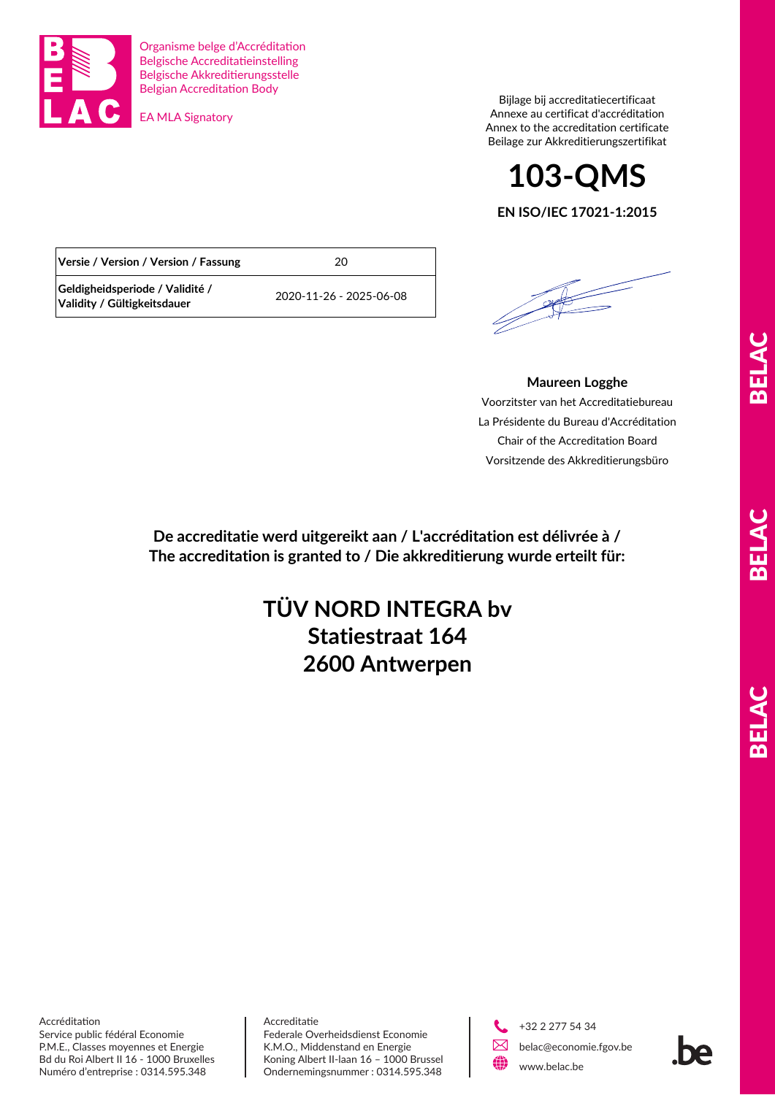

Organisme belge d'Accréditation Belgische Accreditatieinstelling Belgische Akkreditierungsstelle Belgian Accreditation Body

EA MLA Signatory

Bijlage bij accreditatiecertificaat Annexe au certificat d'accréditation Annex to the accreditation certificate Beilage zur Akkreditierungszertifikat



**EN ISO/IEC 17021-1:2015**

| Versie / Version / Version / Fassung                           | 20                      |
|----------------------------------------------------------------|-------------------------|
| Geldigheidsperiode / Validité /<br>Validity / Gültigkeitsdauer | 2020-11-26 - 2025-06-08 |

## **Maureen Logghe**

Voorzitster van het Accreditatiebureau La Présidente du Bureau d'Accréditation Chair of the Accreditation Board Vorsitzende des Akkreditierungsbüro

**De accreditatie werd uitgereikt aan / L'accréditation est délivrée à / The accreditation is granted to / Die akkreditierung wurde erteilt für:**

## **2600 Antwerpen TÜV NORD INTEGRA bv Statiestraat 164**

BELAC BELAC BELAC **ALBER** 

Accréditation Service public fédéral Economie P.M.E., Classes moyennes et Energie Bd du Roi Albert II 16 - 1000 Bruxelles Numéro d'entreprise : 0314.595.348

Accreditatie Federale Overheidsdienst Economie K.M.O., Middenstand en Energie Koning Albert II-laan 16 – 1000 Brussel Ondernemingsnummer : 0314.595.348



 +32 2 277 54 34 belac@economie.fgov.be www.belac.be